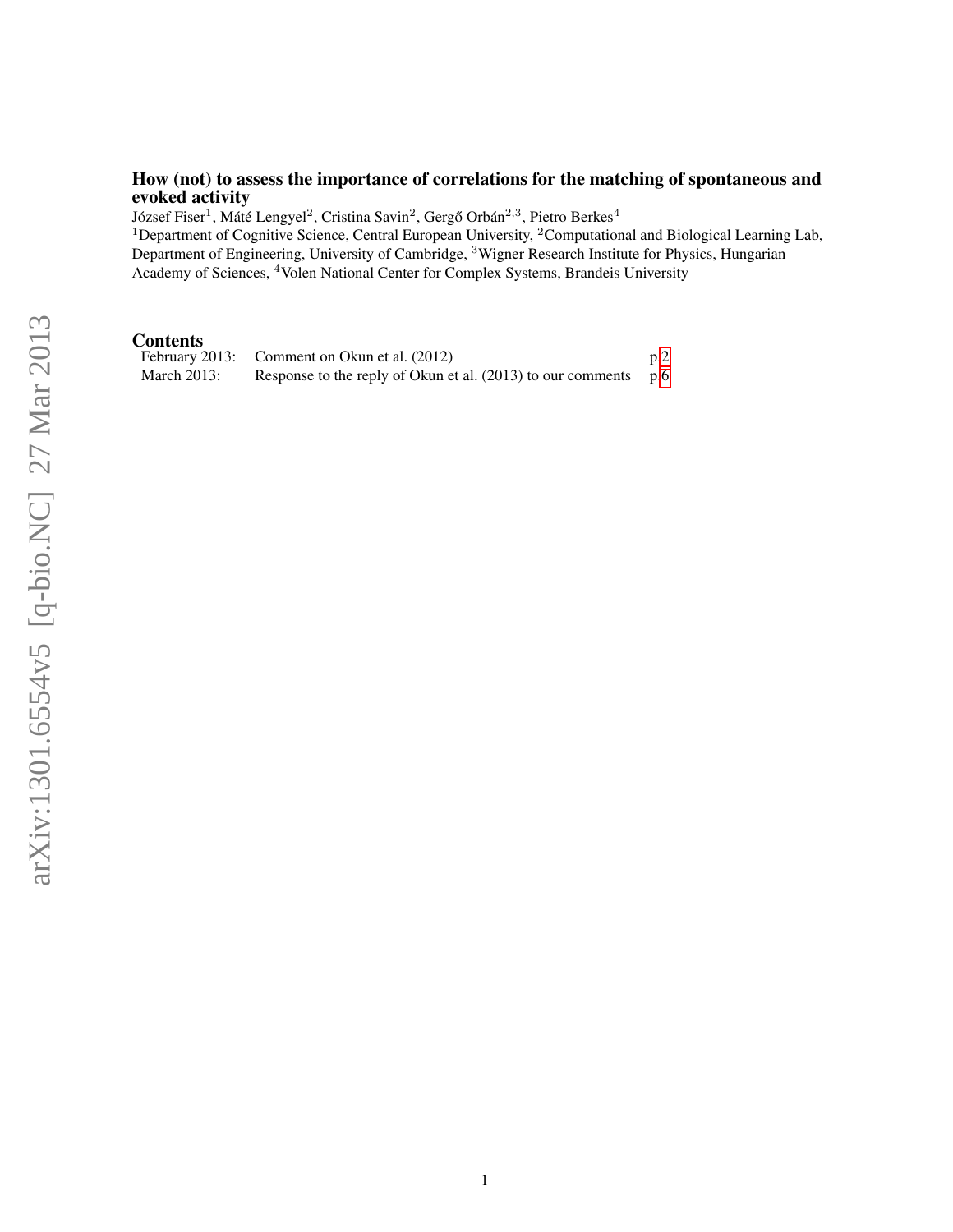# <span id="page-0-0"></span>How (not) to assess the importance of correlations for the matching of spontaneous and evoked activity

József Fiser $^1$ , Máté Lengyel $^2$ , Cristina Savin $^2$ , Gergő Orbán $^{2,3}$ , Pietro Berkes $^4$ 

<sup>1</sup>Department of Cognitive Science, Central European University, <sup>2</sup>Computational and Biological Learning Lab, Department of Engineering, University of Cambridge, <sup>3</sup>Wigner Research Institute for Physics, Hungarian Academy of Sciences, <sup>4</sup>Volen National Center for Complex Systems, Brandeis University

**Contents**<br>February 2013: Comment on Okun et al.  $(2012)$  p[.2](#page-0-0) March 2013: Response to the reply of Okun et al. (2013) to our comments p[.6](#page-4-0)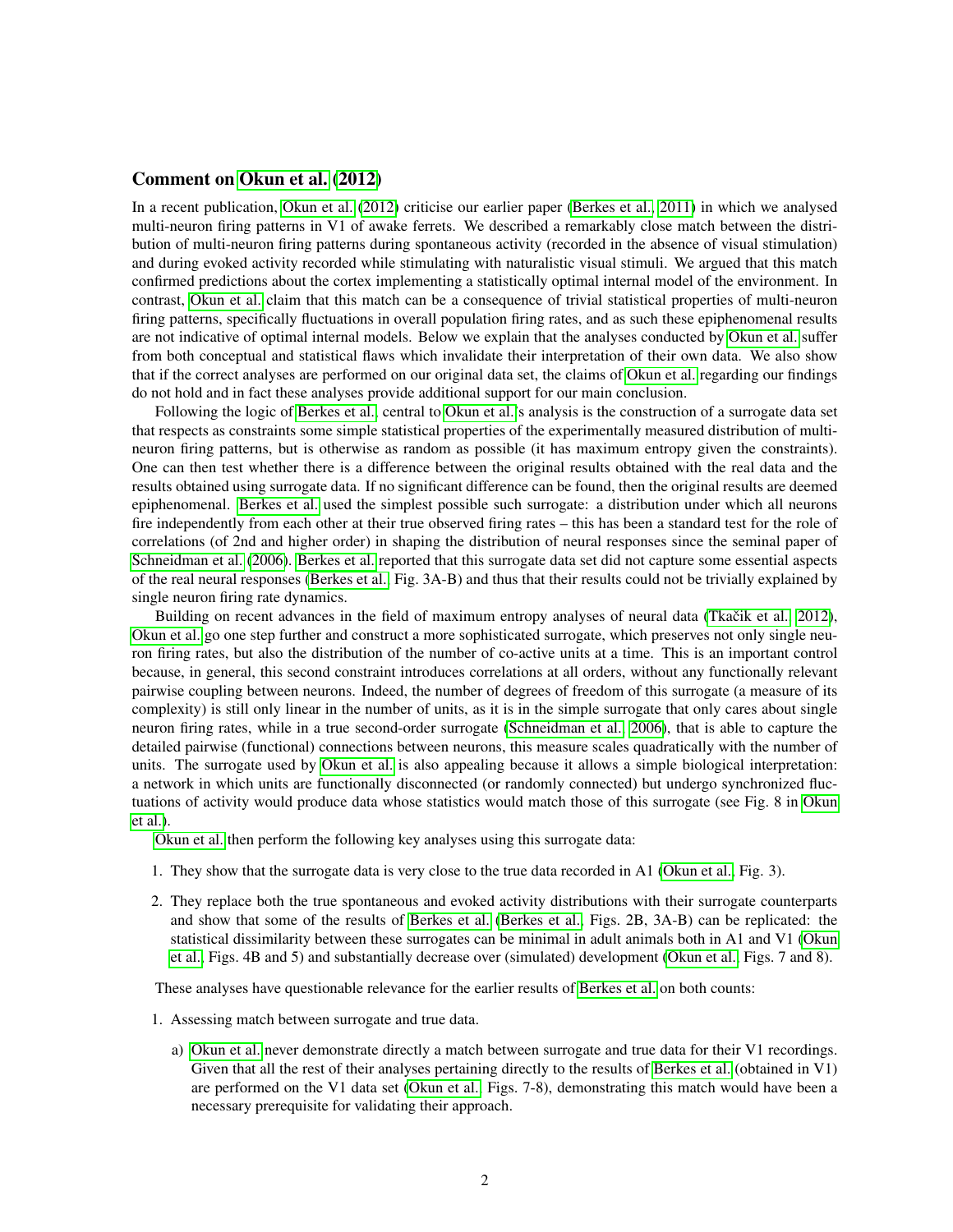# Comment on [Okun et al.](#page-3-0) [\(2012\)](#page-3-0)

In a recent publication, [Okun et al.](#page-3-0) [\(2012\)](#page-3-0) criticise our earlier paper [\(Berkes et al., 2011\)](#page-3-1) in which we analysed multi-neuron firing patterns in V1 of awake ferrets. We described a remarkably close match between the distribution of multi-neuron firing patterns during spontaneous activity (recorded in the absence of visual stimulation) and during evoked activity recorded while stimulating with naturalistic visual stimuli. We argued that this match confirmed predictions about the cortex implementing a statistically optimal internal model of the environment. In contrast, [Okun et al.](#page-3-0) claim that this match can be a consequence of trivial statistical properties of multi-neuron firing patterns, specifically fluctuations in overall population firing rates, and as such these epiphenomenal results are not indicative of optimal internal models. Below we explain that the analyses conducted by [Okun et al.](#page-3-0) suffer from both conceptual and statistical flaws which invalidate their interpretation of their own data. We also show that if the correct analyses are performed on our original data set, the claims of [Okun et al.](#page-3-0) regarding our findings do not hold and in fact these analyses provide additional support for our main conclusion.

Following the logic of [Berkes et al.,](#page-3-1) central to [Okun et al.'](#page-3-0)s analysis is the construction of a surrogate data set that respects as constraints some simple statistical properties of the experimentally measured distribution of multineuron firing patterns, but is otherwise as random as possible (it has maximum entropy given the constraints). One can then test whether there is a difference between the original results obtained with the real data and the results obtained using surrogate data. If no significant difference can be found, then the original results are deemed epiphenomenal. [Berkes et al.](#page-3-1) used the simplest possible such surrogate: a distribution under which all neurons fire independently from each other at their true observed firing rates – this has been a standard test for the role of correlations (of 2nd and higher order) in shaping the distribution of neural responses since the seminal paper of [Schneidman et al.](#page-3-2) [\(2006\)](#page-3-2). [Berkes et al.](#page-3-1) reported that this surrogate data set did not capture some essential aspects of the real neural responses [\(Berkes et al.,](#page-3-1) Fig. 3A-B) and thus that their results could not be trivially explained by single neuron firing rate dynamics.

Building on recent advances in the field of maximum entropy analyses of neural data (Tkačik et al., 2012), [Okun et al.](#page-3-0) go one step further and construct a more sophisticated surrogate, which preserves not only single neuron firing rates, but also the distribution of the number of co-active units at a time. This is an important control because, in general, this second constraint introduces correlations at all orders, without any functionally relevant pairwise coupling between neurons. Indeed, the number of degrees of freedom of this surrogate (a measure of its complexity) is still only linear in the number of units, as it is in the simple surrogate that only cares about single neuron firing rates, while in a true second-order surrogate [\(Schneidman et al., 2006\)](#page-3-2), that is able to capture the detailed pairwise (functional) connections between neurons, this measure scales quadratically with the number of units. The surrogate used by [Okun et al.](#page-3-0) is also appealing because it allows a simple biological interpretation: a network in which units are functionally disconnected (or randomly connected) but undergo synchronized fluctuations of activity would produce data whose statistics would match those of this surrogate (see Fig. 8 in [Okun](#page-3-0) [et al.\)](#page-3-0).

[Okun et al.](#page-3-0) then perform the following key analyses using this surrogate data:

- 1. They show that the surrogate data is very close to the true data recorded in A1 [\(Okun et al.,](#page-3-0) Fig. 3).
- 2. They replace both the true spontaneous and evoked activity distributions with their surrogate counterparts and show that some of the results of [Berkes et al.](#page-3-1) [\(Berkes et al.,](#page-3-1) Figs. 2B, 3A-B) can be replicated: the statistical dissimilarity between these surrogates can be minimal in adult animals both in A1 and V1 [\(Okun](#page-3-0) [et al.,](#page-3-0) Figs. 4B and 5) and substantially decrease over (simulated) development [\(Okun et al.,](#page-3-0) Figs. 7 and 8).

These analyses have questionable relevance for the earlier results of [Berkes et al.](#page-3-1) on both counts:

- 1. Assessing match between surrogate and true data.
	- a) [Okun et al.](#page-3-0) never demonstrate directly a match between surrogate and true data for their V1 recordings. Given that all the rest of their analyses pertaining directly to the results of [Berkes et al.](#page-3-1) (obtained in V1) are performed on the V1 data set [\(Okun et al.,](#page-3-0) Figs. 7-8), demonstrating this match would have been a necessary prerequisite for validating their approach.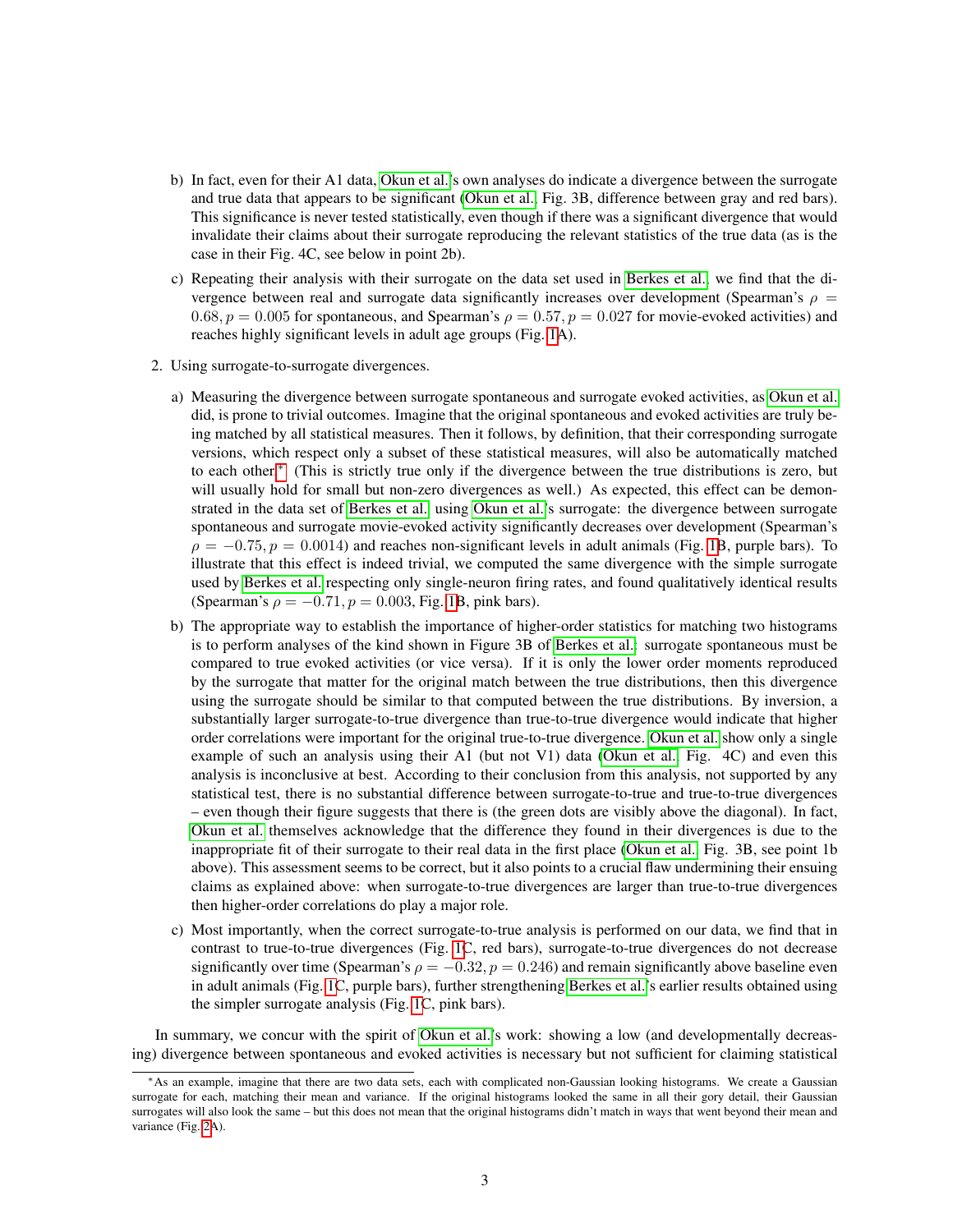- b) In fact, even for their A1 data, [Okun et al.'](#page-3-0)s own analyses do indicate a divergence between the surrogate and true data that appears to be significant [\(Okun et al.,](#page-3-0) Fig. 3B, difference between gray and red bars). This significance is never tested statistically, even though if there was a significant divergence that would invalidate their claims about their surrogate reproducing the relevant statistics of the true data (as is the case in their Fig. 4C, see below in point 2b).
- c) Repeating their analysis with their surrogate on the data set used in [Berkes et al.,](#page-3-1) we find that the divergence between real and surrogate data significantly increases over development (Spearman's  $\rho =$ 0.68,  $p = 0.005$  for spontaneous, and Spearman's  $\rho = 0.57$ ,  $p = 0.027$  for movie-evoked activities) and reaches highly significant levels in adult age groups (Fig. [1A](#page-4-0)).
- 2. Using surrogate-to-surrogate divergences.
	- a) Measuring the divergence between surrogate spontaneous and surrogate evoked activities, as [Okun et al.](#page-3-0) did, is prone to trivial outcomes. Imagine that the original spontaneous and evoked activities are truly being matched by all statistical measures. Then it follows, by definition, that their corresponding surrogate versions, which respect only a subset of these statistical measures, will also be automatically matched to each other.[∗](#page-2-0) (This is strictly true only if the divergence between the true distributions is zero, but will usually hold for small but non-zero divergences as well.) As expected, this effect can be demonstrated in the data set of [Berkes et al.](#page-3-1) using [Okun et al.'](#page-3-0)s surrogate: the divergence between surrogate spontaneous and surrogate movie-evoked activity significantly decreases over development (Spearman's  $\rho = -0.75$ ,  $p = 0.0014$ ) and reaches non-significant levels in adult animals (Fig. [1B](#page-4-0), purple bars). To illustrate that this effect is indeed trivial, we computed the same divergence with the simple surrogate used by [Berkes et al.](#page-3-1) respecting only single-neuron firing rates, and found qualitatively identical results (Spearman's  $\rho = -0.71, p = 0.003$ , Fig. [1B](#page-4-0), pink bars).
	- b) The appropriate way to establish the importance of higher-order statistics for matching two histograms is to perform analyses of the kind shown in Figure 3B of [Berkes et al.:](#page-3-1) surrogate spontaneous must be compared to true evoked activities (or vice versa). If it is only the lower order moments reproduced by the surrogate that matter for the original match between the true distributions, then this divergence using the surrogate should be similar to that computed between the true distributions. By inversion, a substantially larger surrogate-to-true divergence than true-to-true divergence would indicate that higher order correlations were important for the original true-to-true divergence. [Okun et al.](#page-3-0) show only a single example of such an analysis using their A1 (but not V1) data [\(Okun et al.,](#page-3-0) Fig. 4C) and even this analysis is inconclusive at best. According to their conclusion from this analysis, not supported by any statistical test, there is no substantial difference between surrogate-to-true and true-to-true divergences – even though their figure suggests that there is (the green dots are visibly above the diagonal). In fact, [Okun et al.](#page-3-0) themselves acknowledge that the difference they found in their divergences is due to the inappropriate fit of their surrogate to their real data in the first place [\(Okun et al.,](#page-3-0) Fig. 3B, see point 1b above). This assessment seems to be correct, but it also points to a crucial flaw undermining their ensuing claims as explained above: when surrogate-to-true divergences are larger than true-to-true divergences then higher-order correlations do play a major role.
	- c) Most importantly, when the correct surrogate-to-true analysis is performed on our data, we find that in contrast to true-to-true divergences (Fig. [1C](#page-4-0), red bars), surrogate-to-true divergences do not decrease significantly over time (Spearman's  $\rho = -0.32, p = 0.246$ ) and remain significantly above baseline even in adult animals (Fig. [1C](#page-4-0), purple bars), further strengthening [Berkes et al.'](#page-3-1)s earlier results obtained using the simpler surrogate analysis (Fig. [1C](#page-4-0), pink bars).

In summary, we concur with the spirit of [Okun et al.'](#page-3-0)s work: showing a low (and developmentally decreasing) divergence between spontaneous and evoked activities is necessary but not sufficient for claiming statistical

<span id="page-2-0"></span><sup>∗</sup>As an example, imagine that there are two data sets, each with complicated non-Gaussian looking histograms. We create a Gaussian surrogate for each, matching their mean and variance. If the original histograms looked the same in all their gory detail, their Gaussian surrogates will also look the same – but this does not mean that the original histograms didn't match in ways that went beyond their mean and variance (Fig. [2A](#page-8-0)).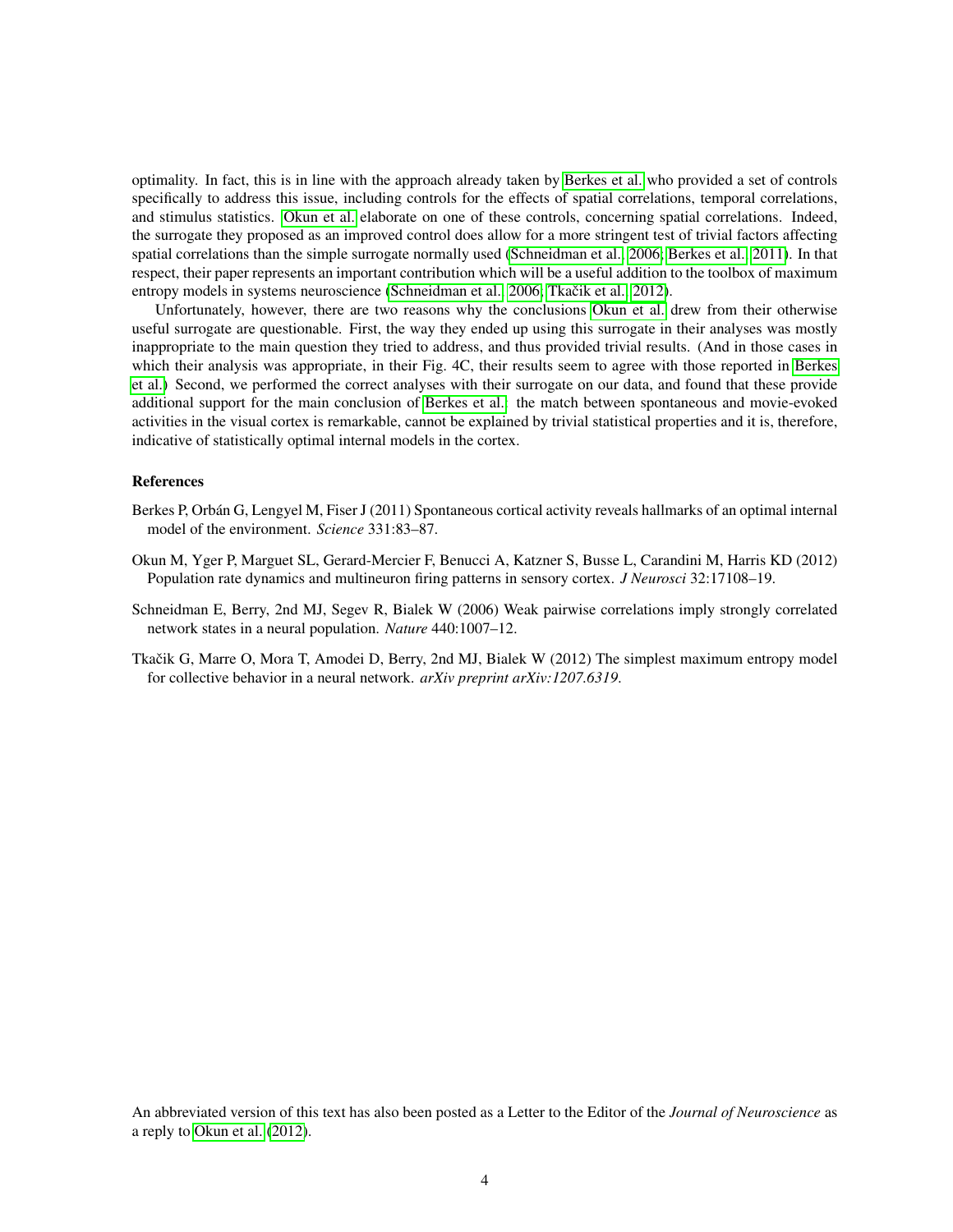optimality. In fact, this is in line with the approach already taken by [Berkes et al.](#page-3-1) who provided a set of controls specifically to address this issue, including controls for the effects of spatial correlations, temporal correlations, and stimulus statistics. [Okun et al.](#page-3-0) elaborate on one of these controls, concerning spatial correlations. Indeed, the surrogate they proposed as an improved control does allow for a more stringent test of trivial factors affecting spatial correlations than the simple surrogate normally used [\(Schneidman et al., 2006;](#page-3-2) [Berkes et al., 2011\)](#page-3-1). In that respect, their paper represents an important contribution which will be a useful addition to the toolbox of maximum entropy models in systems neuroscience [\(Schneidman et al., 2006;](#page-3-2) Tkačik et al., 2012).

Unfortunately, however, there are two reasons why the conclusions [Okun et al.](#page-3-0) drew from their otherwise useful surrogate are questionable. First, the way they ended up using this surrogate in their analyses was mostly inappropriate to the main question they tried to address, and thus provided trivial results. (And in those cases in which their analysis was appropriate, in their Fig. 4C, their results seem to agree with those reported in [Berkes](#page-3-1) [et al.\)](#page-3-1) Second, we performed the correct analyses with their surrogate on our data, and found that these provide additional support for the main conclusion of [Berkes et al.:](#page-3-1) the match between spontaneous and movie-evoked activities in the visual cortex is remarkable, cannot be explained by trivial statistical properties and it is, therefore, indicative of statistically optimal internal models in the cortex.

## References

- <span id="page-3-1"></span>Berkes P, Orbán G, Lengyel M, Fiser J (2011) Spontaneous cortical activity reveals hallmarks of an optimal internal model of the environment. *Science* 331:83–87.
- <span id="page-3-0"></span>Okun M, Yger P, Marguet SL, Gerard-Mercier F, Benucci A, Katzner S, Busse L, Carandini M, Harris KD (2012) Population rate dynamics and multineuron firing patterns in sensory cortex. *J Neurosci* 32:17108–19.
- <span id="page-3-2"></span>Schneidman E, Berry, 2nd MJ, Segev R, Bialek W (2006) Weak pairwise correlations imply strongly correlated network states in a neural population. *Nature* 440:1007–12.
- <span id="page-3-3"></span>Tkačik G, Marre O, Mora T, Amodei D, Berry, 2nd MJ, Bialek W (2012) The simplest maximum entropy model for collective behavior in a neural network. *arXiv preprint arXiv:1207.6319*.

An abbreviated version of this text has also been posted as a Letter to the Editor of the *Journal of Neuroscience* as a reply to [Okun et al.](#page-3-0) [\(2012\)](#page-3-0).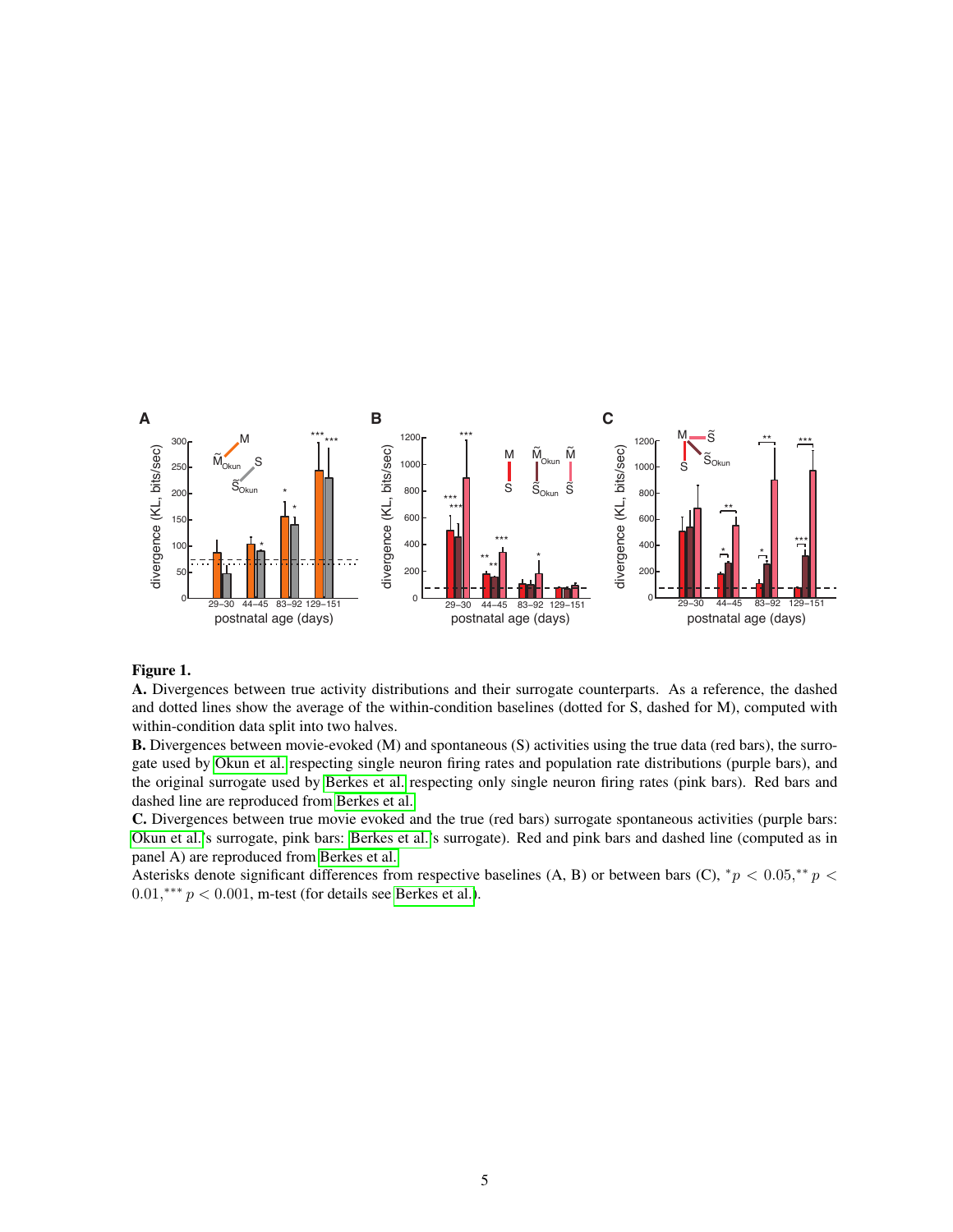<span id="page-4-0"></span>

## Figure 1.

A. Divergences between true activity distributions and their surrogate counterparts. As a reference, the dashed and dotted lines show the average of the within-condition baselines (dotted for S, dashed for M), computed with within-condition data split into two halves.

B. Divergences between movie-evoked (M) and spontaneous (S) activities using the true data (red bars), the surrogate used by [Okun et al.](#page-3-0) respecting single neuron firing rates and population rate distributions (purple bars), and the original surrogate used by [Berkes et al.](#page-3-1) respecting only single neuron firing rates (pink bars). Red bars and dashed line are reproduced from [Berkes et al.](#page-3-1)

C. Divergences between true movie evoked and the true (red bars) surrogate spontaneous activities (purple bars: [Okun et al.'](#page-3-0)s surrogate, pink bars: [Berkes et al.'](#page-3-1)s surrogate). Red and pink bars and dashed line (computed as in panel A) are reproduced from [Berkes et al.](#page-3-1)

Asterisks denote significant differences from respective baselines (A, B) or between bars (C),  $^*p < 0.05, ^{**}p <$  $0.01$ ,\*\*\*  $p < 0.001$ , m-test (for details see [Berkes et al.\)](#page-3-1).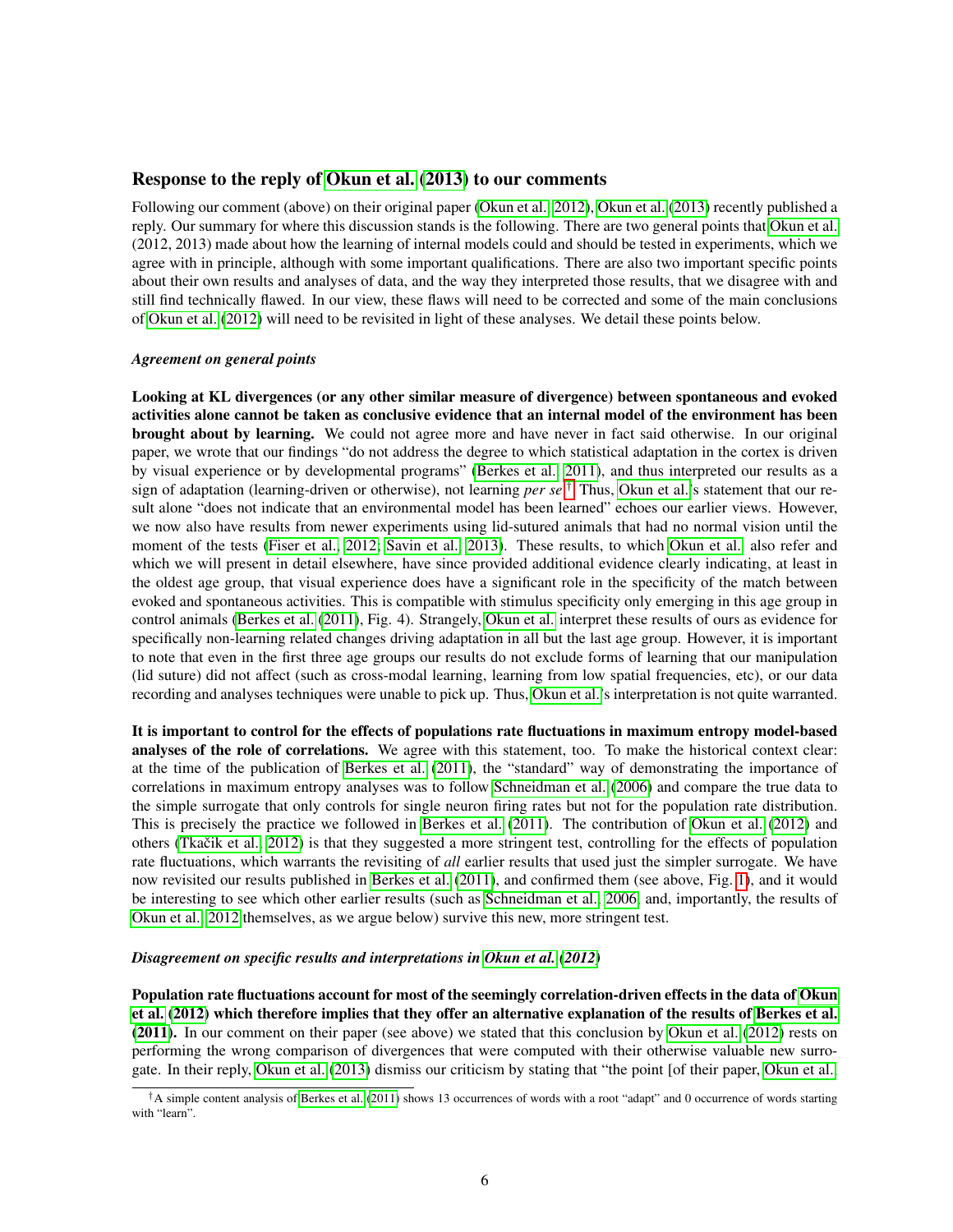# Response to the reply of [Okun et al.](#page-7-0) [\(2013\)](#page-7-0) to our comments

Following our comment (above) on their original paper [\(Okun et al., 2012\)](#page-3-0), [Okun et al.](#page-7-0) [\(2013\)](#page-7-0) recently published a reply. Our summary for where this discussion stands is the following. There are two general points that [Okun et al.](#page-3-0) (2012, 2013) made about how the learning of internal models could and should be tested in experiments, which we agree with in principle, although with some important qualifications. There are also two important specific points about their own results and analyses of data, and the way they interpreted those results, that we disagree with and still find technically flawed. In our view, these flaws will need to be corrected and some of the main conclusions of [Okun et al.](#page-3-0) [\(2012\)](#page-3-0) will need to be revisited in light of these analyses. We detail these points below.

### *Agreement on general points*

Looking at KL divergences (or any other similar measure of divergence) between spontaneous and evoked activities alone cannot be taken as conclusive evidence that an internal model of the environment has been brought about by learning. We could not agree more and have never in fact said otherwise. In our original paper, we wrote that our findings "do not address the degree to which statistical adaptation in the cortex is driven by visual experience or by developmental programs" [\(Berkes et al., 2011\)](#page-3-1), and thus interpreted our results as a sign of adaptation (learning-driven or otherwise), not learning *per se*. [†](#page-5-0) Thus, [Okun et al.'](#page-3-0)s statement that our result alone "does not indicate that an environmental model has been learned" echoes our earlier views. However, we now also have results from newer experiments using lid-sutured animals that had no normal vision until the moment of the tests [\(Fiser et al., 2012;](#page-7-1) [Savin et al., 2013\)](#page-7-2). These results, to which [Okun et al.](#page-7-0) also refer and which we will present in detail elsewhere, have since provided additional evidence clearly indicating, at least in the oldest age group, that visual experience does have a significant role in the specificity of the match between evoked and spontaneous activities. This is compatible with stimulus specificity only emerging in this age group in control animals [\(Berkes et al.](#page-3-1) [\(2011\)](#page-3-1), Fig. 4). Strangely, [Okun et al.](#page-7-0) interpret these results of ours as evidence for specifically non-learning related changes driving adaptation in all but the last age group. However, it is important to note that even in the first three age groups our results do not exclude forms of learning that our manipulation (lid suture) did not affect (such as cross-modal learning, learning from low spatial frequencies, etc), or our data recording and analyses techniques were unable to pick up. Thus, [Okun et al.'](#page-7-0)s interpretation is not quite warranted.

It is important to control for the effects of populations rate fluctuations in maximum entropy model-based analyses of the role of correlations. We agree with this statement, too. To make the historical context clear: at the time of the publication of [Berkes et al.](#page-3-1) [\(2011\)](#page-3-1), the "standard" way of demonstrating the importance of correlations in maximum entropy analyses was to follow [Schneidman et al.](#page-3-2) [\(2006\)](#page-3-2) and compare the true data to the simple surrogate that only controls for single neuron firing rates but not for the population rate distribution. This is precisely the practice we followed in [Berkes et al.](#page-3-1) [\(2011\)](#page-3-1). The contribution of [Okun et al.](#page-3-0) [\(2012\)](#page-3-0) and others (Tkačik et al.,  $2012$ ) is that they suggested a more stringent test, controlling for the effects of population rate fluctuations, which warrants the revisiting of *all* earlier results that used just the simpler surrogate. We have now revisited our results published in [Berkes et al.](#page-3-1) [\(2011\)](#page-3-1), and confirmed them (see above, Fig. [1\)](#page-4-0), and it would be interesting to see which other earlier results (such as [Schneidman et al., 2006,](#page-3-2) and, importantly, the results of [Okun et al., 2012](#page-3-0) themselves, as we argue below) survive this new, more stringent test.

## *Disagreement on specific results and interpretations in [Okun et al.](#page-3-0) [\(2012\)](#page-3-0)*

Population rate fluctuations account for most of the seemingly correlation-driven effects in the data of [Okun](#page-3-0) [et al.](#page-3-0) [\(2012\)](#page-3-0) which therefore implies that they offer an alternative explanation of the results of [Berkes et al.](#page-3-1) [\(2011\)](#page-3-1). In our comment on their paper (see above) we stated that this conclusion by [Okun et al.](#page-3-0) [\(2012\)](#page-3-0) rests on performing the wrong comparison of divergences that were computed with their otherwise valuable new surrogate. In their reply, [Okun et al.](#page-7-0) [\(2013\)](#page-7-0) dismiss our criticism by stating that "the point [of their paper, [Okun et al.,](#page-3-0)

<span id="page-5-0"></span> $^{\dagger}$ A simple content analysis of [Berkes et al.](#page-3-1) [\(2011\)](#page-3-1) shows 13 occurrences of words with a root "adapt" and 0 occurrence of words starting with "learn".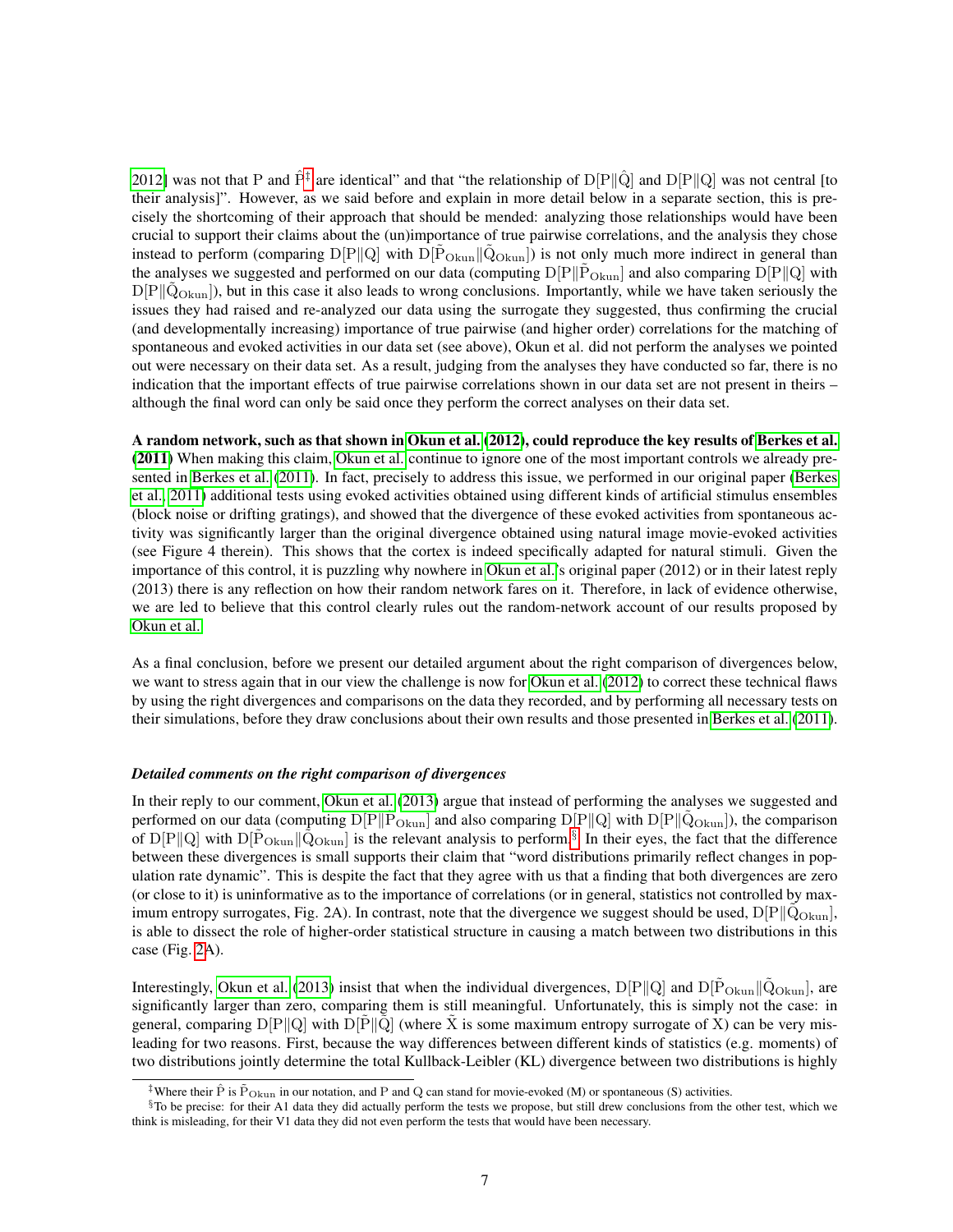[2012\]](#page-3-0) was not that P and  $\hat{P}^{\ddagger}$  are identical" and that "the relationship of  $D[P\|\hat{Q}]$  and  $D[P\|Q]$  was not central [to their analysis]". However, as we said before and explain in more detail below in a separate section, this is precisely the shortcoming of their approach that should be mended: analyzing those relationships would have been crucial to support their claims about the (un)importance of true pairwise correlations, and the analysis they chose instead to perform (comparing  $D[P||Q]$  with  $D[P_{Okun}||\dot{Q}_{Okun}]$ ) is not only much more indirect in general than the analyses we suggested and performed on our data (computing  $D[P||\tilde{P}_{Okun}]$  and also comparing  $D[P||Q]$  with  $D[P||Q<sub>Okun</sub>]$ , but in this case it also leads to wrong conclusions. Importantly, while we have taken seriously the issues they had raised and re-analyzed our data using the surrogate they suggested, thus confirming the crucial (and developmentally increasing) importance of true pairwise (and higher order) correlations for the matching of spontaneous and evoked activities in our data set (see above), Okun et al. did not perform the analyses we pointed out were necessary on their data set. As a result, judging from the analyses they have conducted so far, there is no indication that the important effects of true pairwise correlations shown in our data set are not present in theirs – although the final word can only be said once they perform the correct analyses on their data set.

A random network, such as that shown in [Okun et al.](#page-3-0) [\(2012\)](#page-3-0), could reproduce the key results of [Berkes et al.](#page-3-1) [\(2011\)](#page-3-1) When making this claim, [Okun et al.](#page-7-0) continue to ignore one of the most important controls we already presented in [Berkes et al.](#page-3-1) [\(2011\)](#page-3-1). In fact, precisely to address this issue, we performed in our original paper [\(Berkes](#page-3-1) [et al., 2011\)](#page-3-1) additional tests using evoked activities obtained using different kinds of artificial stimulus ensembles (block noise or drifting gratings), and showed that the divergence of these evoked activities from spontaneous activity was significantly larger than the original divergence obtained using natural image movie-evoked activities (see Figure 4 therein). This shows that the cortex is indeed specifically adapted for natural stimuli. Given the importance of this control, it is puzzling why nowhere in [Okun et al.'](#page-3-0)s original paper (2012) or in their latest reply (2013) there is any reflection on how their random network fares on it. Therefore, in lack of evidence otherwise, we are led to believe that this control clearly rules out the random-network account of our results proposed by [Okun et al.](#page-3-0)

As a final conclusion, before we present our detailed argument about the right comparison of divergences below, we want to stress again that in our view the challenge is now for [Okun et al.](#page-3-0) [\(2012\)](#page-3-0) to correct these technical flaws by using the right divergences and comparisons on the data they recorded, and by performing all necessary tests on their simulations, before they draw conclusions about their own results and those presented in [Berkes et al.](#page-3-1) [\(2011\)](#page-3-1).

### *Detailed comments on the right comparison of divergences*

In their reply to our comment, [Okun et al.](#page-7-0) [\(2013\)](#page-7-0) argue that instead of performing the analyses we suggested and performed on our data (computing  $D[P||\tilde{P}_{Okun}]$  and also comparing  $D[P||Q]$  with  $D[P||\tilde{Q}_{Okun}]$ ), the comparison of D[P||Q] with D[ $\tilde{P}_{Okun}$  || $\tilde{Q}_{Okun}$ ] is the relevant analysis to perform.<sup>[§](#page-6-1)</sup> In their eyes, the fact that the difference between these divergences is small supports their claim that "word distributions primarily reflect changes in population rate dynamic". This is despite the fact that they agree with us that a finding that both divergences are zero (or close to it) is uninformative as to the importance of correlations (or in general, statistics not controlled by maximum entropy surrogates, Fig. 2A). In contrast, note that the divergence we suggest should be used,  $D[P||Q_{Okun}]$ , is able to dissect the role of higher-order statistical structure in causing a match between two distributions in this case (Fig. [2A](#page-8-0)).

Interestingly, [Okun et al.](#page-7-0) [\(2013\)](#page-7-0) insist that when the individual divergences,  $D[P||Q]$  and  $D[P_{Okun}||\dot{Q}_{Okun}]$ , are significantly larger than zero, comparing them is still meaningful. Unfortunately, this is simply not the case: in general, comparing  $D[P||Q]$  with  $D[P||Q]$  (where X is some maximum entropy surrogate of X) can be very misleading for two reasons. First, because the way differences between different kinds of statistics (e.g. moments) of two distributions jointly determine the total Kullback-Leibler (KL) divergence between two distributions is highly

<span id="page-6-1"></span><span id="page-6-0"></span><sup>&</sup>lt;sup>‡</sup>Where their  $\hat{P}$  is  $\tilde{P}_{Qkun}$  in our notation, and P and Q can stand for movie-evoked (M) or spontaneous (S) activities.

 $\S$ To be precise: for their A1 data they did actually perform the tests we propose, but still drew conclusions from the other test, which we think is misleading, for their V1 data they did not even perform the tests that would have been necessary.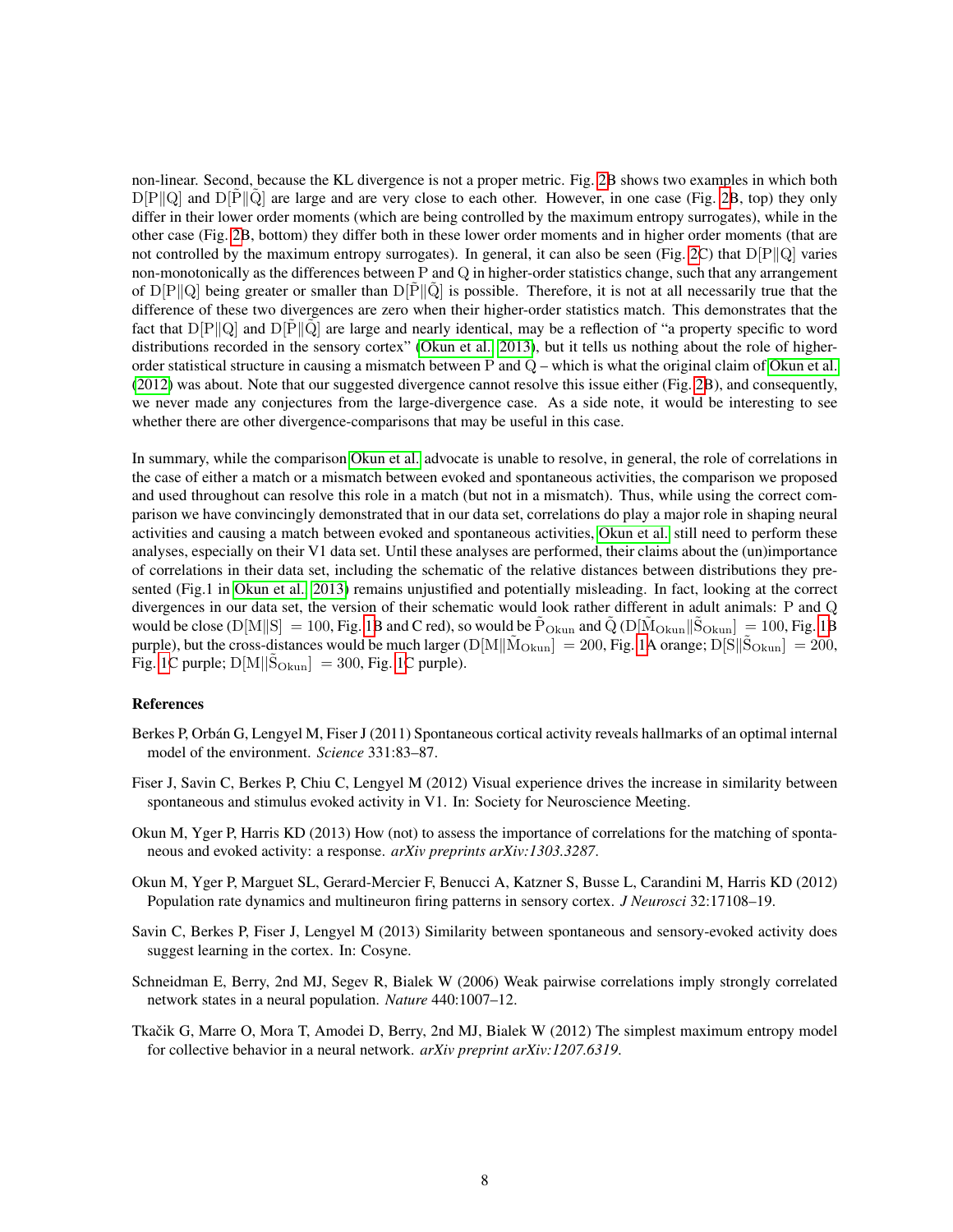non-linear. Second, because the KL divergence is not a proper metric. Fig. [2B](#page-8-0) shows two examples in which both  $D[P\|Q]$  and  $D[P\|Q]$  are large and are very close to each other. However, in one case (Fig. [2B](#page-8-0), top) they only differ in their lower order moments (which are being controlled by the maximum entropy surrogates), while in the other case (Fig. [2B](#page-8-0), bottom) they differ both in these lower order moments and in higher order moments (that are not controlled by the maximum entropy surrogates). In general, it can also be seen (Fig. [2C](#page-8-0)) that  $D[P||Q]$  varies non-monotonically as the differences between  $P$  and  $Q$  in higher-order statistics change, such that any arrangement of  $D[P||Q]$  being greater or smaller than  $D[P||Q]$  is possible. Therefore, it is not at all necessarily true that the difference of these two divergences are zero when their higher-order statistics match. This demonstrates that the fact that  $D[P||Q]$  and  $D[P||Q]$  are large and nearly identical, may be a reflection of "a property specific to word distributions recorded in the sensory cortex" [\(Okun et al., 2013\)](#page-7-0), but it tells us nothing about the role of higherorder statistical structure in causing a mismatch between P and  $Q$  – which is what the original claim of [Okun et al.](#page-3-0) [\(2012\)](#page-3-0) was about. Note that our suggested divergence cannot resolve this issue either (Fig. [2B](#page-8-0)), and consequently, we never made any conjectures from the large-divergence case. As a side note, it would be interesting to see whether there are other divergence-comparisons that may be useful in this case.

In summary, while the comparison [Okun et al.](#page-3-0) advocate is unable to resolve, in general, the role of correlations in the case of either a match or a mismatch between evoked and spontaneous activities, the comparison we proposed and used throughout can resolve this role in a match (but not in a mismatch). Thus, while using the correct comparison we have convincingly demonstrated that in our data set, correlations do play a major role in shaping neural activities and causing a match between evoked and spontaneous activities, [Okun et al.](#page-3-0) still need to perform these analyses, especially on their V1 data set. Until these analyses are performed, their claims about the (un)importance of correlations in their data set, including the schematic of the relative distances between distributions they pre-sented (Fig.1 in [Okun et al., 2013\)](#page-7-0) remains unjustified and potentially misleading. In fact, looking at the correct divergences in our data set, the version of their schematic would look rather different in adult animals: P and Q would be close (D[M||S] = 100, Fig. [1B](#page-4-0) and C red), so would be  $\tilde{P}_{Okun}$  and  $\tilde{Q}$  (D[ $\tilde{M}_{Okun}$ || $\tilde{S}_{Okun}$ ] = 100, Fig. 1B purple), but the cross-distances would be much larger (D[M|| $\tilde{M}_{Okun}$ ] = 200, Fig. [1A](#page-4-0) orange; D[S|| $\tilde{S}_{Okun}$ ] = 200, Fig. [1C](#page-4-0) purple;  $D[M||\tilde{S}_{Okun}] = 300$ , Fig. 1C purple).

## References

- Berkes P, Orbán G, Lengyel M, Fiser J (2011) Spontaneous cortical activity reveals hallmarks of an optimal internal model of the environment. *Science* 331:83–87.
- <span id="page-7-1"></span>Fiser J, Savin C, Berkes P, Chiu C, Lengyel M (2012) Visual experience drives the increase in similarity between spontaneous and stimulus evoked activity in V1. In: Society for Neuroscience Meeting.
- <span id="page-7-0"></span>Okun M, Yger P, Harris KD (2013) How (not) to assess the importance of correlations for the matching of spontaneous and evoked activity: a response. *arXiv preprints arXiv:1303.3287*.
- Okun M, Yger P, Marguet SL, Gerard-Mercier F, Benucci A, Katzner S, Busse L, Carandini M, Harris KD (2012) Population rate dynamics and multineuron firing patterns in sensory cortex. *J Neurosci* 32:17108–19.
- <span id="page-7-2"></span>Savin C, Berkes P, Fiser J, Lengyel M (2013) Similarity between spontaneous and sensory-evoked activity does suggest learning in the cortex. In: Cosyne.
- Schneidman E, Berry, 2nd MJ, Segev R, Bialek W (2006) Weak pairwise correlations imply strongly correlated network states in a neural population. *Nature* 440:1007–12.
- Tkačik G, Marre O, Mora T, Amodei D, Berry, 2nd MJ, Bialek W (2012) The simplest maximum entropy model for collective behavior in a neural network. *arXiv preprint arXiv:1207.6319*.